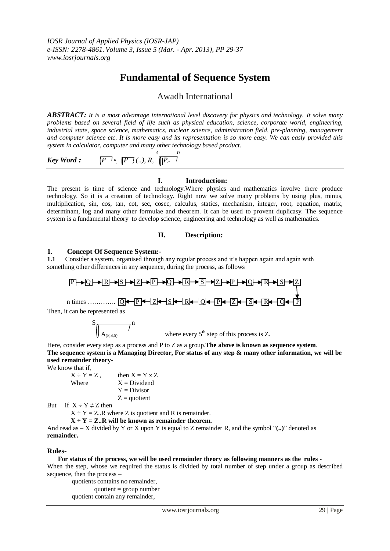# **Fundamental of Sequence System**

## Awadh International

*ABSTRACT: It is a most advantage international level discovery for physics and technology. It solve many problems based on several field of life such as physical education, science, corporate world, engineering, industrial state, space science, mathematics, nuclear science, administration field, pre-planning, management and computer science etc. It is more easy and its representation is so more easy. We can easly provided this system in calculator, computer and many other technology based product.* 

$$
\text{Key Word:} \qquad \boxed{P^{-1}^n, \ \boxed{P^{-1}} \dots, R, \ \boxed{P^{-1}}^{n}}
$$

### **I. Introduction:**

The present is time of science and technology.Where physics and mathematics involve there produce technology. So it is a creation of technology. Right now we solve many problems by using plus, minus, multiplication, sin, cos, tan, cot, sec, cosec, calculus, statics, mechanism, integer, root, equation, matrix, determinant, log and many other formulae and theorem. It can be used to provent duplicasy. The sequence system is a fundamental theory to develop science, engineering and technology as well as mathematics.

### **II. Description:**

### **1. Concept Of Sequence System:-**

**1.1** Consider a system, organised through any regular process and it's happen again and again with something other differences in any sequence, during the process, as follows

$$
[P \rightarrow Q \rightarrow R \rightarrow S \rightarrow Z \rightarrow P \rightarrow R \rightarrow S \rightarrow Z \rightarrow P \rightarrow Q \rightarrow R \rightarrow S \rightarrow Z]
$$
\nn times

\n
$$
Q \leftarrow [P] \leftarrow [Z] \leftarrow [S] \leftarrow [R] \leftarrow [Q] \leftarrow [P] \leftarrow [Z] \leftarrow [R] \leftarrow [Q] \leftarrow [R] \leftarrow [R] \leftarrow [Q] \leftarrow [R] \leftarrow [R] \leftarrow [Q] \leftarrow [R] \leftarrow [R] \leftarrow [R] \leftarrow [R] \leftarrow [R] \leftarrow [R] \leftarrow [R] \leftarrow [R] \leftarrow [R] \leftarrow [R] \leftarrow [R] \leftarrow [R] \leftarrow [R] \leftarrow [R] \leftarrow [R] \leftarrow [R] \leftarrow [R] \leftarrow [R] \leftarrow [R] \leftarrow [R] \leftarrow [R] \leftarrow [R] \leftarrow [R] \leftarrow [R] \leftarrow [R] \leftarrow [R] \leftarrow [R] \leftarrow [R] \leftarrow [R] \leftarrow [R] \leftarrow [R] \leftarrow [R] \leftarrow [R] \leftarrow [R] \leftarrow [R] \leftarrow [R] \leftarrow [R] \leftarrow [R] \leftarrow [R] \leftarrow [R] \leftarrow [R] \leftarrow [R] \leftarrow [R] \leftarrow [R] \leftarrow [R] \leftarrow [R] \leftarrow [R] \leftarrow [R] \leftarrow [R] \leftarrow [R] \leftarrow [R] \leftarrow [R] \leftarrow [R] \leftarrow [R] \leftarrow [R] \leftarrow [R] \leftarrow [R] \leftarrow [R] \leftarrow [R] \leftarrow [R] \leftarrow [R] \leftarrow [R] \leftarrow [R] \leftarrow [R] \leftarrow [R] \leftarrow [R] \leftarrow [R] \leftarrow [R] \leftarrow [R] \leftarrow [R] \leftarrow [R] \leftarrow [R] \leftarrow [R] \leftarrow [R] \leftarrow [R] \leftarrow [R] \leftarrow [R] \leftarrow [R] \leftarrow [R] \leftarrow [R] \leftarrow [R] \leftarrow [R] \leftarrow [R] \leftarrow [R] \leftarrow [R] \leftarrow [R] \leftarrow [R] \leftarrow [R] \leftarrow [R] \leftarrow [R] \leftarrow [R] \leftarrow [R] \leftarrow [R] \leftarrow [R] \leftarrow [R] \leftarrow [R] \leftarrow [R] \leftarrow [R] \leftarrow [R] \leftarrow [R] \leftarrow [R] \leftarrow [
$$

Then, i

$$
\frac{S}{\sqrt{\frac{A_{(P,S,5)}}{A_{(P,S,5)}}}} n
$$

 $\bigvee A_{(P,S,5)}$  where every 5<sup>th</sup> step of this process is Z.

Here, consider every step as a process and P to Z as a group.**The above is known as sequence system**. **The sequence system is a Managing Director, For status of any step & many other information, we will be used remainder theory**-

We know that if,

$$
X \div Y = Z, \qquad \text{then } X = Y \times Z
$$
  
Where 
$$
X = Dividend
$$

$$
Y = Divisor
$$

$$
Z = quotient
$$

But if  $X \div Y \neq Z$  then

 $X \div Y = Z \cdot R$  where Z is quotient and R is remainder.

 $X \div Y = Z \cdot R$  will be known as remainder theorem.

And read as  $-X$  divided by Y or X upon Y is equal to Z remainder R, and the symbol " $(..)$ " denoted as **remainder.**

### **Rules-**

 **For status of the process, we will be used remainder theory as following manners as the rules -** When the step, whose we required the status is divided by total number of step under a group as described sequence, then the process –

 quotients contains no remainder, quotient = group number quotient contain any remainder,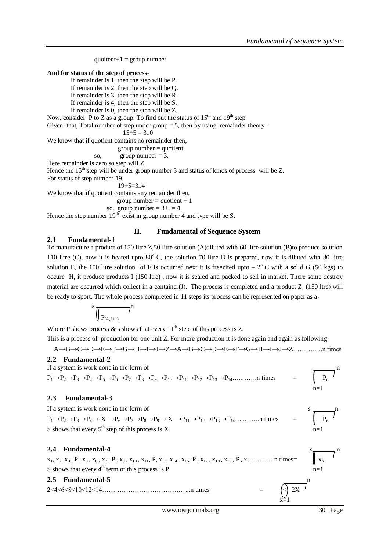```
quoitent+1 = group number
And for status of the step of process-
         If remainder is 1, then the step will be P.
         If remainder is 2, then the step will be Q. 
         If remainder is 3, then the step will be R. 
         If remainder is 4, then the step will be S.
         If remainder is 0, then the step will be Z. 
Now, consider P to Z as a group. To find out the status of 15<sup>th</sup> and 19<sup>th</sup> step
Given that, Total number of step under group = 5, then by using remainder theory–
                              15 \div 5 = 3.0We know that if quotient contains no remainder then, 
                            group number = quotientso, group number = 3,
Here remainder is zero so step will Z.
Hence the 15<sup>th</sup> step will be under group number 3 and status of kinds of process will be Z.
For status of step number 19,
                            19:5=3.4We know that if quotient contains any remainder then,
                           group number = quotient + 1so, group number = 3+1=4Hence the step number 19<sup>th</sup> exist in group number 4 and type will be S.
```
#### **II. Fundamental of Sequence System**

### **2.1 Fundamental-1**

To manufacture a product of 150 litre Z,50 litre solution (A)diluted with 60 litre solution (B)to produce solution 110 litre (C), now it is heated upto  $80^{\circ}$  C, the solution 70 litre D is prepared, now it is diluted with 30 litre solution E, the 100 litre solution of F is occurred next it is freezited upto  $-2^{\circ}$  C with a solid G (50 kgs) to occure H, it produce products I (150 ltre) , now it is sealed and packed to sell in market. There some destroy material are occurred which collect in a container(J). The process is completed and a product Z (150 ltre) will be ready to sport. The whole process completed in 11 steps its process can be represented on paper as a-

$$
\left.\raisebox{9pt}{\hspace{-2pt}}\right)^s \sqrt{\rule{0pt}{5pt}}_{P_{(A,J,11)}} \int
$$

Where P shows process  $\&$  s shows that every  $11^{th}$  step of this process is Z.

This is a process of production for one unit Z. For more production it is done again and again as following-

A**→**B**→**C**→**D**→**E**→**F**→**G**→**H**→**I**→**J**→**Z**→**A**→**B**→**C**→**D**→**E**→**F**→**G**→**H**→**I**→**J**→**Z…………..n times

### **2.2 Fundamental-2**

If a system is work done in the form of  $P_1 \rightarrow P_2 \rightarrow P_3 \rightarrow P_4 \rightarrow P_5 \rightarrow P_6 \rightarrow P_7 \rightarrow P_8 \rightarrow P_9 \rightarrow P_{10} \rightarrow P_{11} \rightarrow P_{12} \rightarrow P_{13} \rightarrow P_{14} \dots \dots \dots \dots$ n times

**2.3 Fundamental-3**

If a system is work done in the form of<br>  $P_1 \rightarrow P_2 \rightarrow P_3 \rightarrow P_4 \rightarrow X \rightarrow P_6 \rightarrow P_7 \rightarrow P_8 \rightarrow P_9 \rightarrow X \rightarrow P_{11} \rightarrow P_{12} \rightarrow P_{13} \rightarrow P_{14} \dots \dots \dots \dots$  times  $\begin{array}{c} s \\ \hline \\ \end{array}$  $P_1 \rightarrow P_2 \rightarrow P_3 \rightarrow P_4 \rightarrow X \rightarrow P_6 \rightarrow P_7 \rightarrow P_8 \rightarrow P_9 \rightarrow X \rightarrow P_{11} \rightarrow P_{12} \rightarrow P_{13} \rightarrow P_{14} \dots \dots \dots \dots$  times S shows that every  $5<sup>th</sup>$  step of this process is X.  $n=1$ 

**2.4 Fundamental-4**<br>  $x_1, x_2, x_3, P, x_5, x_6, x_7, P, x_9, x_{10}, x_{11}, P, x_{13}, x_{14}, x_{15}, P, x_{17}, x_{18}, x_{19}, P, x_{21} \dots \dots \dots \text{ n times} = \sqrt{\frac{s}{x_n}}$  $x_1, x_2, x_3, P, x_5, x_6, x_7, P, x_9, x_{10}, x_{11}, P, x_{13}, x_{14}, x_{15}, P, x_{17}, x_{18}, x_{19}, P, x_{21} \ldots \ldots \ldots \ldots \ldots \text{n times} =$ S shows that every  $4<sup>th</sup>$  term of this process is P. n=1

 $x=1$ 

**2.5 Fundamental-5** n  $2 < 4 < 6 < 8 < 10 < 12 < 14 \dots$  times

 $=$   $\sqrt{P_n}$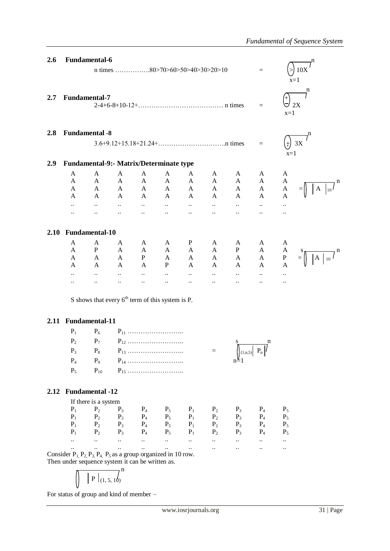| 2.6 |                                                  | <b>Fundamental-6</b>                                                                                                               |                 |                                                           |                              |                                    |                                   |                             |                                                             |                                |              |  |
|-----|--------------------------------------------------|------------------------------------------------------------------------------------------------------------------------------------|-----------------|-----------------------------------------------------------|------------------------------|------------------------------------|-----------------------------------|-----------------------------|-------------------------------------------------------------|--------------------------------|--------------|--|
|     |                                                  |                                                                                                                                    |                 |                                                           |                              |                                    |                                   |                             | $=$                                                         |                                | 10X<br>$x=1$ |  |
| 2.7 |                                                  | <b>Fundamental-7</b>                                                                                                               |                 |                                                           |                              |                                    |                                   |                             | $=$                                                         | $\bigtriangledown$ 2X<br>$x=1$ | n            |  |
| 2.8 |                                                  | <b>Fundamental -8</b>                                                                                                              |                 |                                                           |                              |                                    |                                   |                             |                                                             |                                |              |  |
|     |                                                  |                                                                                                                                    |                 |                                                           |                              |                                    |                                   |                             |                                                             | $^{+}$                         | 3X           |  |
| 2.9 | $x=1$<br>Fundamental-9:- Matrix/Determinate type |                                                                                                                                    |                 |                                                           |                              |                                    |                                   |                             |                                                             |                                |              |  |
|     | $\mathbf{A}$                                     | $\mathbf{A}$                                                                                                                       | $\mathbf{A}$    | $\mathbf{A}$                                              | $\mathbf{A}$                 | A                                  | A                                 | A                           | A                                                           | A                              |              |  |
|     | $\mathbf{A}$                                     | $\mathbf{A}$                                                                                                                       | $\mathbf{A}$    | A                                                         | $\mathbf{A}$                 | $A \quad \blacksquare$             | $\mathbf{A}$                      | $\mathbf A$                 | A                                                           | A                              |              |  |
|     | $\mathsf{A}$                                     | $A \qquad A$                                                                                                                       |                 | $\mathbf A$                                               | $\mathbf A$                  | $\mathbf A$                        | $\mathbf A$                       | $\mathbf A$                 | $\mathbf{A}$                                                | A                              | A            |  |
|     | A                                                | $A \qquad A$                                                                                                                       |                 | A                                                         | $\mathbf A$                  | $\mathbf A$                        | $\mathbf A$                       | $\mathbf{A}$                | A                                                           | A                              |              |  |
|     | $\ddotsc$                                        | $\sim 10^{-10}$                                                                                                                    | $\sim 10^{-10}$ | $\mathcal{L}_{\text{max}}$ and $\mathcal{L}_{\text{max}}$ | $\Delta \omega$ and $\omega$ | $\sim 10^{-10}$                    | $\mathbf{1.1}$ and $\mathbf{1.1}$ | $\mathbf{a}$ .              | $\mathbf{1}$ , $\mathbf{1}$                                 | $\ddotsc$                      |              |  |
|     | $\ddotsc$                                        | $\ddotsc$                                                                                                                          | $\ddots$        | $\ddotsc$                                                 | $\ddots$                     | $\ddots$                           | $\ddots$                          | $\ddotsc$                   | $\ddotsc$                                                   | $\ddotsc$                      |              |  |
|     |                                                  | 2.10 Fundamental-10                                                                                                                |                 |                                                           |                              |                                    |                                   |                             |                                                             |                                |              |  |
|     | A                                                | A                                                                                                                                  | A               | A                                                         | A                            | P <sub>1</sub>                     | A                                 | A                           | A                                                           | A                              |              |  |
|     | $\mathbf{A}$                                     | P                                                                                                                                  | $\mathbf{A}$    | $\mathbf{A}$                                              | $\mathbf{A}$                 | $\mathbf{A}$                       | $\mathbf{A}$                      | P                           | $\mathbf{A}$                                                | $\mathbf{A}$                   |              |  |
|     | $\mathbf{A}$                                     | $\mathbf{A}$                                                                                                                       | $\mathbf{A}$    | P                                                         | $\mathbf{A}$                 | $\mathbf{A}$                       | $\mathbf{A}$                      | $\mathbf A$                 | $\mathbf{A}$                                                | $\mathbf{P}$                   |              |  |
|     | $\mathbf{A}$                                     | $\mathbf{A}$                                                                                                                       | A               | A                                                         | P                            | A                                  | $A \quad \blacksquare$            | $\mathbf{A}$                | $\mathbf{A}$                                                | A                              |              |  |
|     | $\ddotsc$                                        | $\ddots$                                                                                                                           | $\ddotsc$       | $\ddotsc$                                                 | $\ddotsc$                    | $\ddotsc$                          | $\ddotsc$                         | $\mathbf{1}$ .              | $\ddotsc$                                                   |                                |              |  |
|     |                                                  |                                                                                                                                    | $\ldots$        | $\ddotsc$                                                 | $\ldots$                     | $\ddots$                           | $\ddotsc$                         | $\ddotsc$                   | $\ddot{\phantom{a}}$                                        | $\ddotsc$                      |              |  |
|     |                                                  | S shows that every $6^{th}$ term of this system is P.                                                                              |                 |                                                           |                              |                                    |                                   |                             |                                                             |                                |              |  |
|     |                                                  | 2.11 Fundamental-11                                                                                                                |                 |                                                           |                              |                                    |                                   |                             |                                                             |                                |              |  |
|     | $P_1$                                            | $P_6$                                                                                                                              |                 |                                                           |                              |                                    |                                   |                             |                                                             |                                |              |  |
|     | P <sub>2</sub>                                   | $P_7$                                                                                                                              |                 |                                                           |                              |                                    |                                   |                             |                                                             |                                |              |  |
|     |                                                  |                                                                                                                                    |                 |                                                           |                              |                                    |                                   | S                           | n                                                           |                                |              |  |
|     | $P_3$                                            | $P_8$                                                                                                                              |                 |                                                           |                              |                                    | $=$                               |                             | $\left\  \begin{array}{c} 1, n, 5 \end{array} \right\  P_n$ |                                |              |  |
|     | $P_4$                                            | P <sub>9</sub>                                                                                                                     |                 |                                                           |                              |                                    |                                   |                             |                                                             |                                |              |  |
|     | $P_5$                                            | $P_{10}$                                                                                                                           |                 |                                                           |                              |                                    |                                   |                             |                                                             |                                |              |  |
|     |                                                  | 2.12 Fundamental -12                                                                                                               |                 |                                                           |                              |                                    |                                   |                             |                                                             |                                |              |  |
|     |                                                  | If there is a system                                                                                                               |                 |                                                           |                              |                                    |                                   |                             |                                                             |                                |              |  |
|     | $P_1$                                            | $P_2$                                                                                                                              | $P_3$           | $P_4$                                                     | $P_5$                        | $P_1$                              | $P_2$                             | $P_3$                       | $P_4$                                                       | $P_5$                          |              |  |
|     | $P_1$                                            | $P_2$                                                                                                                              | $P_3$           | $P_4$                                                     |                              |                                    | $P_2$                             | $P_3$                       | $P_4$                                                       | $P_5$                          |              |  |
|     | $P_1$                                            | $P_2$ $P_3$                                                                                                                        |                 | $P_4$                                                     |                              | $P_5$ $P_1$<br>$P_5$ $P_1$         | $P_2$                             | $P_3$                       | $P_4$                                                       | $P_5$                          |              |  |
|     | $P_1$                                            |                                                                                                                                    | $P_2$ $P_3$     | $P_4$                                                     | $P_5$                        | $P_1$                              | $P_2$                             | $P_3$                       | $P_4$                                                       | $P_5$                          |              |  |
|     | $\ddotsc$                                        | $\mathbf{u} = \mathbf{u} \cdot \mathbf{u}$ and $\mathbf{u} = \mathbf{u} \cdot \mathbf{u}$                                          |                 | $\ddotsc$                                                 | $\ddotsc$                    | $\mathbf{H}^{(1)}$                 | $\mathbf{a}$ and $\mathbf{b}$     | $\Delta\sigma$ and $\sigma$ | $\mathbf{11}$                                               | $\ddotsc$                      |              |  |
|     | $\ddotsc$                                        | $\Delta\omega_{\rm{eff}}=0.01$ and $\Delta\omega_{\rm{eff}}$                                                                       |                 | $\ddot{\phantom{a}}$                                      | $\mathbf{A}^{\mathbf{A}}$    | $\mathbb{Z}^{\mathbb{Z}^{\times}}$ | $\mathbf{1}$ , $\mathbf{1}$       | $\mathbf{1.1}$ .            | $\ddotsc$                                                   | $\ddotsc$                      |              |  |
|     |                                                  | Consider $P_1$ , $P_2$ , $P_3$ , $P_4$ , $P_5$ as a group organized in 10 row.<br>Then under sequence system it can be written as. |                 |                                                           |                              |                                    |                                   |                             |                                                             |                                |              |  |
|     |                                                  | $ P _{(1, 5, 10)}$                                                                                                                 |                 |                                                           |                              |                                    |                                   |                             |                                                             |                                |              |  |
|     |                                                  |                                                                                                                                    |                 |                                                           |                              |                                    |                                   |                             |                                                             |                                |              |  |

For status of group and kind of member –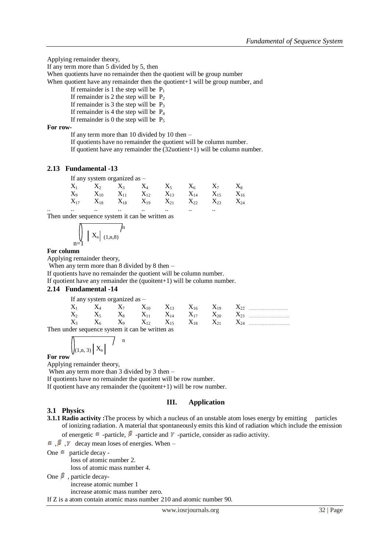Applying remainder theory,

If any term more than 5 divided by 5, then

When quotients have no remainder then the quotient will be group number

When quotient have any remainder then the quotient+1 will be group number, and

If remainder is 1 the step will be  $P_1$ 

If remainder is 2 the step will be  $P_2$ 

If remainder is 3 the step will be  $P_3$ 

If remainder is 4 the step will be  $P_4$ 

If remainder is 0 the step will be  $P_5$ 

### **For row-**

If any term more than 10 divided by 10 then –

If quotients have no remainder the quotient will be column number.

If quotient have any remainder the (32uotient+1) will be column number.

#### **2.13 Fundamental -13**

|  | If any system organized as - |  |                                                                                                                                                                                                   |          |
|--|------------------------------|--|---------------------------------------------------------------------------------------------------------------------------------------------------------------------------------------------------|----------|
|  |                              |  | $X_1$ $X_2$ $X_3$ $X_4$ $X_5$ $X_6$ $X_7$ $X_8$                                                                                                                                                   |          |
|  |                              |  | ${\rm X_9} \hspace{1cm} {\rm X_{10}} \hspace{1cm} {\rm X_{11}} \hspace{1cm} {\rm X_{12}} \hspace{1cm} {\rm X_{13}} \hspace{1cm} {\rm X_{14}} \hspace{1cm} {\rm X_{15}} \hspace{1cm} {\rm X_{16}}$ |          |
|  |                              |  | $X_{17}$ $X_{18}$ $X_{18}$ $X_{19}$ $X_{21}$ $X_{22}$ $X_{23}$                                                                                                                                    | $X_{24}$ |

.. .. .. .. .. .. .. .. Then under sequence system it can be written as

$$
\bigcap_{n=1}^{\infty} |X_n| (1, n, 8)
$$

#### **For column**

Applying remainder theory,

When any term more than 8 divided by 8 then –

If quotients have no remainder the quotient will be column number.

If quotient have any remainder the (quoitent+1) will be column number.

#### **2.14 Fundamental -14**

If any system organized as –

|  | $X_7$ | $X_{10}$ $X_{13}$ $X_{16}$                 |                    | $X_{19}$ |          |
|--|-------|--------------------------------------------|--------------------|----------|----------|
|  |       | $X_{11}$                                   | $X_{14} \t X_{17}$ | $X_{20}$ | $X_{23}$ |
|  |       | $X_9 = X_{12} = X_{15}$                    | $X_{18}$ .         | $X_{21}$ |          |
|  |       | inder seguence system it can be written as |                    |          |          |

Then under sequence system it can be written as

 n  $\left| \right|_{(1,n, 3)} \left| X_n \right|$ 

#### **For row**

Applying remainder theory,

When any term more than 3 divided by 3 then –

If quotients have no remainder the quotient will be row number.

If quotient have any remainder the (quoitent+1) will be row number.

#### **III. Application**

### **3.1 Physics**

**3.1.1 Radio activity** : The process by which a nucleus of an unstable atom loses energy by emitting particles of ionizing radiation. A material that spontaneously emits this kind of radiation which include the emission of energetic  $\alpha$  -particle,  $\beta$  -particle and  $\gamma$  -particle, consider as radio activity.

 $\alpha$ ,  $\beta$ ,  $\gamma$  decay mean loses of energies. When –

One  $\alpha$  particle decay -

loss of atomic number 2.

loss of atomic mass number 4.

One  $\beta$ , particle decay-

increase atomic number 1

increase atomic mass number zero.

If Z is a atom contain atomic mass number 210 and atomic number 90.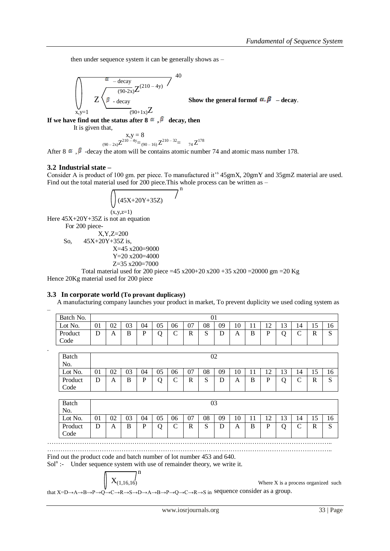then under sequence system it can be generally shows as –

$$
\left(\int_{\substack{x,y=1}}^{\infty} Z \frac{e^{-\deg y}}{2 \log \deg(y) + e^{-\deg(y)}} Z^{(210-4y)} \right)^{40}
$$
\nShow the gene

eral formof  $\alpha, \beta$  – decay.

**If we have find out the status after 8**  $\alpha$ **,**  $\beta$  **decay, then** 

It is given that,

 $x,y=8$  $_{(90-2x)}Z^{210-4y} = _{(90-16)}Z^{210-32} =$   $_{74}Z^{178}$ 

After 8  $\alpha$ ,  $\beta$  -decay the atom will be contains atomic number 74 and atomic mass number 178.

#### **3.2 Industrial state –**

–

.

Consider A is product of 100 gm. per piece. To manufactured it's 45gmX, 20gmY and 35gmZ material are used. Find out the total material used for 200 piece. This whole process can be written as –

$$
\sqrt{(45X+20Y+35Z)}^{n}
$$

 $(x,y,z=1)$ Here  $45X+20Y+35Z$  is not an equation For 200 piece-

$$
X, Y, Z=200
$$
  
So, 45X+20Y+35Z is,  

$$
X=45 \times 200=9000
$$
  

$$
Y=20 \times 200=4000
$$

$$
Z = 35 \times 200 = 7000
$$

Total material used for 200 piece =45 x200+20 x200 +35 x200 =20000 gm =20 Kg Hence 20Kg material used for 200 piece

#### **3.3 In corporate world (To provant duplicasy)**

A manufacturing company launches your product in market, To prevent duplicity we used coding system as

| Batch No. |                         |    |    |    |    |             |    | UI          |                         |    |           |           |              |        |     |             |
|-----------|-------------------------|----|----|----|----|-------------|----|-------------|-------------------------|----|-----------|-----------|--------------|--------|-----|-------------|
| Lot No.   | Λ1<br>UΙ                | 02 | 03 | 04 | 05 | 06          | 07 | 08          | 09                      | 10 | -1<br>1 T | ר ו<br>14 | $\sim$<br>⊥⊃ | 14     | 1 J | 16          |
| Product   | $\mathbf{\bar{r}}$<br>◡ | А  | B  | D  |    | $\sim$<br>◡ | R  | $\sim$<br>ມ | $\mathbf{\bar{n}}$<br>◡ | A  | B         | D         | ⌒            | $\sim$ | R   | $\sim$<br>N |
| Code      |                         |    |    |    |    |             |    |             |                         |    |           |           |              |        |     |             |

| <b>Batch</b>    |    | 02 |    |    |    |             |    |        |        |    |            |           |              |                 |              |                        |
|-----------------|----|----|----|----|----|-------------|----|--------|--------|----|------------|-----------|--------------|-----------------|--------------|------------------------|
| No.<br>Lot No.  | 01 | 02 | 03 | 04 | 05 | 06          | 07 | 08     | 09     | 10 | - 1<br>1 T | ר ו<br>14 | $\sim$<br>IJ | 14              | ⊥J           | 16                     |
| Product<br>Code | D  | A  | B  | D  |    | $\sim$<br>◡ | R  | C<br>N | n<br>◡ | A  | B          | D         | ⌒            | $\sqrt{ }$<br>◡ | $\mathbb{R}$ | $\mathbf{\Omega}$<br>د |

| Batch<br>N <sub>o</sub>    |    |    |         |    |    |        |    | 03          |    |    |   |   |                          |        |        |                         |
|----------------------------|----|----|---------|----|----|--------|----|-------------|----|----|---|---|--------------------------|--------|--------|-------------------------|
| Lot No.                    | 01 | 02 | ∩∩<br>U | 04 | 05 | 06     | 07 | 08          | 09 | 10 |   |   | $\overline{\phantom{a}}$ | 14     |        | 1 U                     |
| Product<br>$\mathrm{Code}$ | D  | A  | B       | D  |    | ⌒<br>◡ | R  | $\sim$<br>ມ | ⊥  | A  | B | D |                          | ⌒<br>֊ | D<br>ĸ | $\mathbf{\Omega}$<br>د، |

…………………………………………………………………………………………………………………..

Find out the product code and batch number of lot number 453 and 640.

Sol<sup>n</sup> :- Under sequence system with use of remainder theory, we write it.

$$
\boxed{\phantom{\Big|}\chi_{(1,16,16)}^{\qquad \qquad n}}
$$

Where  $X$  is a process organized such

that X=D→A→B→P→Q→C→R→S→D→A→B→P→Q→C→R→S in sequence consider as a group.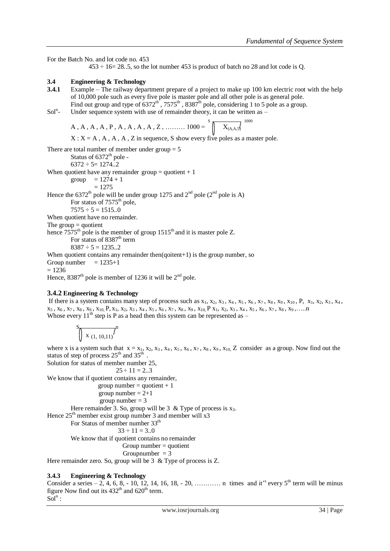For the Batch No. and lot code no. 453  $453 \div 16 = 28..5$ , so the lot number 453 is product of batch no 28 and lot code is Q. **3.4 Engineering & Technology** Example – The railway department prepare of a project to make up 100 km electric root with the help of 10,000 pole such as every five pole is master pole and all other pole is as general pole. Find out group and type of  $6372^{\text{th}}$ ,  $7575^{\text{th}}$ ,  $8387^{\text{th}}$  pole, considering 1 to 5 pole as a group.  $Sol<sup>n</sup>$ -Under sequence system with use of remainder theory, it can be written as  $-$ A, A, A, A, P, A, A, A, A, Z, ………  $1000 = \sqrt[S]{\begin{array}{c} 1000 \\ \longleftarrow \end{array}}$  $X: X = A, A, A, A, Z$  in sequence, S show every five poles as a master pole. There are total number of member under group  $= 5$ Status of  $6372^{\text{th}}$  pole - $6372 \div 5 = 1274.2$ When quotient have any remainder group  $=$  quotient  $+1$ group  $= 1274 + 1$  $= 1275$ Hence the 6372<sup>th</sup> pole will be under group 1275 and 2<sup>nd</sup> pole (2<sup>nd</sup> pole is A) For status of  $7575<sup>th</sup>$  pole,  $7575 \div 5 = 1515.0$ When quotient have no remainder. The group  $=$  quotient hence  $7575<sup>th</sup>$  pole is the member of group  $1515<sup>th</sup>$  and it is master pole Z. For status of  $8387<sup>th</sup>$  term  $8387 \div 5 = 1235..2$ When quotient contains any remainder then  $(qoiten+1)$  is the group number, so Group number  $= 1235 + 1$  $= 1236$ 

Hence,  $8387<sup>th</sup>$  pole is member of 1236 it will be  $2<sup>nd</sup>$  pole.

## **3.4.2 Engineering & Technology**

If there is a system contains many step of process such as  $x_1$ ,  $x_2$ ,  $x_3$ ,  $x_4$ ,  $x_5$ ,  $x_6$ ,  $x_7$ ,  $x_8$ ,  $x_9$ ,  $x_{10}$ ,  $P$ ,  $x_1$ ,  $x_2$ ,  $x_3$ ,  $x_4$ ,  $x_5, x_6, x_7, x_8, x_9, x_{10}$ , P, x<sub>1</sub>, x<sub>2</sub>, x<sub>3</sub>, x<sub>4</sub>, x<sub>5</sub>, x<sub>6</sub>, x<sub>7</sub>, x<sub>8</sub>, x<sub>9</sub>, x<sub>10</sub>, P x<sub>1</sub>, x<sub>2</sub>, x<sub>3</sub>, x<sub>4</sub>, x<sub>5</sub>, x<sub>6</sub>, x<sub>7</sub>, x<sub>8</sub>, x<sub>9</sub>,.....n Whose every  $11^{th}$  step is P as a head then this system can be represented as –

$$
\int x_{(1,10,11)}^{s} \, dx
$$

where x is a system such that  $x = x_1, x_2, x_3, x_4, x_5, x_6, x_7, x_8, x_9, x_{10}$ , Z consider as a group. Now find out the status of step of process  $25<sup>th</sup>$  and  $35<sup>th</sup>$ .

Solution for status of member number 25,

 $25 \div 11 = 2 \dots 3$ We know that if quotient contains any remainder,

group number  $=$  quotient  $+1$ group number  $= 2+1$ group number  $= 3$ Here remainder 3. So, group will be 3 & Type of process is  $x_3$ . Hence  $25<sup>th</sup>$  member exist group number 3 and member will x3 For Status of member number 33<sup>th</sup>  $33 \div 11 = 3.0$ We know that if quotient contains no remainder

 $Group number = quotient$ 

```
Groupnumber = 3
```
Here remainder zero. So, group will be 3 & Type of process is Z.

## **3.4.3 Engineering & Technology**

Consider a series  $-2$ , 4, 6, 8, - 10, 12, 14, 16, 18, - 20, ………… n times and it<sup>38</sup> every 5<sup>th</sup> term will be minus figure Now find out its  $432<sup>th</sup>$  and  $620<sup>th</sup>$  term.  $Sol<sup>n</sup>$ :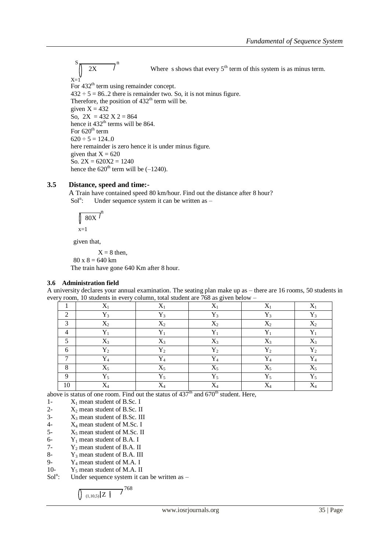$S_{\pi}$  n  $2X$  Where s shows that every 5<sup>th</sup> term of this system is as minus term.  $X=1$ For  $432<sup>th</sup>$  term using remainder concept.  $432 \div 5 = 86.2$  there is remainder two. So, it is not minus figure. Therefore, the position of  $432<sup>th</sup>$  term will be. given  $X = 432$ So,  $2X = 432 X 2 = 864$ hence it 432<sup>th</sup> terms will be 864. For  $620<sup>th</sup>$  term  $620 \div 5 = 124..0$ here remainder is zero hence it is under minus figure. given that  $X = 620$ So.  $2X = 620X2 = 1240$ hence the  $620<sup>th</sup>$  term will be  $(-1240)$ .

### **3.5 Distance, speed and time:-**

A Train have contained speed 80 km/hour. Find out the distance after 8 hour?  $Sol<sup>n</sup>$ : Under sequence system it can be written as -

$$
\int_{x=1}^{\infty} 80X \, \text{m}^n
$$

given that,

 $X = 8$  then,  $80 x 8 = 640 km$ 

The train have gone 640 Km after 8 hour.

### **3.6 Administration field**

A university declares your annual examination. The seating plan make up as – there are 16 rooms, 50 students in every room, 10 students in every column, total student are 768 as given below –

|                | $X_1$          | $X_1$        | $X_1$        | $\mathbf v$        | v              |
|----------------|----------------|--------------|--------------|--------------------|----------------|
| $\bigcap$      | $Y_{2}$        | $Y_3$        | $Y_{2}$      | $Y_3$              | $Y_3$          |
| $\mathcal{L}$  | $X_2$          | $X_2$        | $X_2$        | $X_2$              | $X_{2}$        |
|                | v              | v            | $\mathbf{v}$ | $\mathbf{v}$       | v              |
|                | $X_3$          | $X_3$        | $X_3$        | $X_3$              | $X_3$          |
| 6              | $\mathbf{Y}_2$ | $Y_2$        | $Y_2$        | $Y_2$              | $Y_2$          |
| $\overline{ }$ | $Y_4$          | $Y_4$        | $\mathbf{v}$ | $Y_4$              | $\mathbf{Y}_4$ |
| $\Omega$       | $X_5$          | $X_5$        | $X_5$        | $\mathbf{v}$<br>Δ5 | $X_5$          |
| $\Omega$       | $Y_5$          | $Y_5$        | $Y_5$        | $Y_5$              | $Y_5$          |
| 10             | $\mathbf{v}$   | $\mathbf{v}$ | $\mathbf{v}$ | T.Z                | $\mathbf{v}$   |

above is status of one room. Find out the status of  $437<sup>th</sup>$  and  $670<sup>th</sup>$  student. Here,

- 1-  $X_1$  mean student of B.Sc. I
- 2-  $X_2$  mean student of B.Sc. II
- $3- X_3$  mean student of B.Sc. III
- 4-  $X_4$  mean student of M.Sc. I
- 5-  $X_5$  mean student of M.Sc. II<br>6-  $Y_1$  mean student of B.A. I
- 6-  $Y_1$  mean student of B.A. I<br>7-  $Y_2$  mean student of B.A. II
- 7-  $Y_2$  mean student of B.A. II<br>8-  $Y_3$  mean student of B.A. III
- 8-  $Y_3$  mean student of B.A. III<br>9-  $Y_4$  mean student of M A I
- 9-  $Y_4$  mean student of M.A. I<br>10-  $Y_5$  mean student of M.A. II
- $Y_5$  mean student of M.A. II
- $Sol<sup>n</sup>$ : Under sequence system it can be written as –

$$
\int_{(1,10,5)} \left| Z \right|^{768}
$$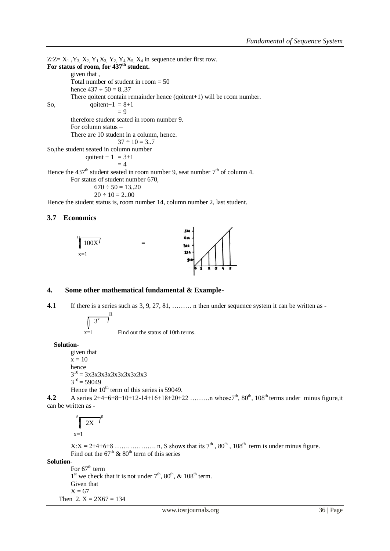Z: Z =  $X_1$ ,  $Y_3$ ,  $X_2$ ,  $Y_1$ ,  $X_3$ ,  $Y_2$ ,  $Y_4$ ,  $X_5$ ,  $X_4$  in sequence under first row. **For status of room, for 437th student.**  given that , Total number of student in room = 50 hence  $437 \div 50 = 8.37$ There qoitent contain remainder hence (qoitent+1) will be room number. So, qoitent+1 =  $8+1$  $= 9$ therefore student seated in room number 9. For column status – There are 10 student in a column, hence.  $37 \div 10 = 3.7$ So,the student seated in column number qoitent +  $1 = 3+1$  $= 4$ Hence the 437<sup>th</sup> student seated in room number 9, seat number 7<sup>th</sup> of column 4. For status of student number 670,  $670 \div 50 = 13..20$  $20 \div 10 = 2...00$ 

Hence the student status is, room number 14, column number 2, last student.

#### **3.7 Economics**



#### **4. Some other mathematical fundamental & Example-**

**4.**1 If there is a series such as 3, 9, 27, 81, ... in then under sequence system it can be written as -

$$
\sqrt{3^x}
$$

 $x=1$  Find out the status of 10th terms.

 **Solution-**

```
given that
x = 10hence
3^{10} = 3x3x3x3x3x3x3x3x3
3^{10} = 59049Hence the 10^{th} term of this series is 59049.
```
**4.2** A series  $2+4+6+8+10+12-14+16+18+20+22$  ………n whose  $7<sup>th</sup>$ ,  $80<sup>th</sup>$ ,  $108<sup>th</sup>$  terms under minus figure, it can be written as -

$$
\int_{x=1}^{s} \sqrt{2X} \, dx
$$

 $X:X = 2+4+6+8$  ..................... n, S shows that its  $7<sup>th</sup>$ ,  $80<sup>th</sup>$ ,  $108<sup>th</sup>$  term is under minus figure. Find out the  $67<sup>th</sup>$  &  $80<sup>th</sup>$  term of this series

**Solution-**

For  $67<sup>th</sup>$  term  $1<sup>st</sup>$  we check that it is not under  $7<sup>th</sup>$ ,  $80<sup>th</sup>$ ,  $\&$   $108<sup>th</sup>$  term. Given that  $X = 67$ Then  $2. X = 2X67 = 134$